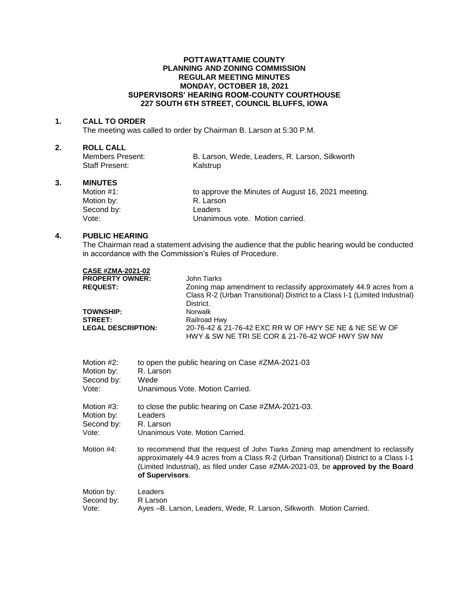## **POTTAWATTAMIE COUNTY PLANNING AND ZONING COMMISSION REGULAR MEETING MINUTES MONDAY, OCTOBER 18, 2021 SUPERVISORS' HEARING ROOM-COUNTY COURTHOUSE 227 SOUTH 6TH STREET, COUNCIL BLUFFS, IOWA**

#### **1. CALL TO ORDER**

The meeting was called to order by Chairman B. Larson at 5:30 P.M.

# **2. ROLL CALL**

| Members Present: | B. Larson, Wede, Leaders, R. Larson, Silkworth |
|------------------|------------------------------------------------|
| Staff Present:   | Kalstrup                                       |

## **3. MINUTES**

| Motion $#1$ : | to approve the Minutes of August 16, 2021 meeting. |
|---------------|----------------------------------------------------|
| Motion by:    | R. Larson                                          |
| Second by:    | Leaders                                            |
| Vote:         | Unanimous vote. Motion carried.                    |

### **4. PUBLIC HEARING**

The Chairman read a statement advising the audience that the public hearing would be conducted in accordance with the Commission's Rules of Procedure.

| <b>CASE #ZMA-2021-02</b>  |                                                                                                           |
|---------------------------|-----------------------------------------------------------------------------------------------------------|
| <b>PROPERTY OWNER:</b>    | John Tiarks                                                                                               |
| <b>REQUEST:</b>           | Zoning map amendment to reclassify approximately 44.9 acres from a                                        |
|                           | Class R-2 (Urban Transitional) District to a Class I-1 (Limited Industrial)                               |
|                           | District.                                                                                                 |
| <b>TOWNSHIP:</b>          | Norwalk                                                                                                   |
| <b>STREET:</b>            | Railroad Hwy                                                                                              |
| <b>LEGAL DESCRIPTION:</b> | 20-76-42 & 21-76-42 EXC RR W OF HWY SE NE & NE SE W OF<br>HWY & SW NE TRI SE COR & 21-76-42 WOF HWY SW NW |
|                           |                                                                                                           |

| Motion #2: | to open the public hearing on Case #ZMA-2021-03                                                                                                                                                                                                                                  |
|------------|----------------------------------------------------------------------------------------------------------------------------------------------------------------------------------------------------------------------------------------------------------------------------------|
| Motion by: | R. Larson                                                                                                                                                                                                                                                                        |
| Second by: | Wede                                                                                                                                                                                                                                                                             |
| Vote:      | Unanimous Vote, Motion Carried.                                                                                                                                                                                                                                                  |
| Motion #3: | to close the public hearing on Case #ZMA-2021-03.                                                                                                                                                                                                                                |
| Motion by: | Leaders                                                                                                                                                                                                                                                                          |
| Second by: | R. Larson                                                                                                                                                                                                                                                                        |
| Vote:      | Unanimous Vote, Motion Carried.                                                                                                                                                                                                                                                  |
| Motion #4: | to recommend that the request of John Tiarks Zoning map amendment to reclassify<br>approximately 44.9 acres from a Class R-2 (Urban Transitional) District to a Class I-1<br>(Limited Industrial), as filed under Case #ZMA-2021-03, be approved by the Board<br>of Supervisors. |
| Motion by: | Leaders                                                                                                                                                                                                                                                                          |
| Second by: | R Larson                                                                                                                                                                                                                                                                         |
| Vote:      | Ayes -B. Larson, Leaders, Wede, R. Larson, Silkworth. Motion Carried.                                                                                                                                                                                                            |